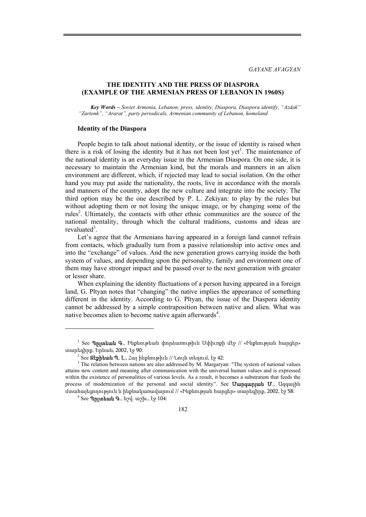*GAYANE AVAGYAN* 

# **THE IDENTITY AND THE PRESS OF DIASPORA (EXAMPLE OF THE ARMENIAN PRESS OF LEBANON IN 1960S)**

*Key Words – Soviet Armenia, Lebanon, press, identity, Diaspora, Diaspora identify, "Azdak" "Zartonk", "Ararat", party periodicals, Armenian community of Lebanon, homeland* 

#### **Identity of the Diaspora**

People begin to talk about national identity, or the issue of identity is raised when there is a risk of losing the identity but it has not been lost yet<sup>1</sup>. The maintenance of the national identity is an everyday issue in the Armenian Diaspora. On one side, it is necessary to maintain the Armenian kind, but the morals and manners in an alien environment are different, which, if rejected may lead to social isolation. On the other hand you may put aside the nationality, the roots, live in accordance with the morals and manners of the country, adopt the new culture and integrate into the society. The third option may be the one described by P. L. Zekiyan: to play by the rules but without adopting them or not losing the unique image, or by changing some of the rules<sup>2</sup>. Ultimately, the contacts with other ethnic communities are the source of the national mentality, through which the cultural traditions, customs and ideas are revaluated<sup>3</sup>.

Let's agree that the Armenians having appeared in a foreign land cannot refrain from contacts, which gradually turn from a passive relationship into active ones and into the "exchange" of values. And the new generation grows carrying inside the both system of values, and depending upon the personality, family and environment one of them may have stronger impact and be passed over to the next generation with greater or lesser share.

When explaining the identity fluctuations of a person having appeared in a foreign land, G. Pltyan notes that "changing" the native implies the appearance of something different in the identity. According to G. Pltyan, the issue of the Diaspora identity cannot be addressed by a simple contraposition between native and alien. What was native becomes alien to become native again afterwards<sup>4</sup>.

 $^1$  See **Պըլտեան Գ**., Ինքնութեան փորձառութիւն Սփիւռքի մէջ // «Ինքնության հարցեր» տարեգիրք, Երևան, 2002, էջ 90:

 $^2$  See **Զէքիեան Պ. Լ**., Հայ ինքնութիւն // Նույն տեղում, էջ 42:<br><sup>3</sup> The relation haturen nations are also addressed by M. Marsonia

<sup>&</sup>lt;sup>3</sup> The relation between nations are also addressed by M. Margaryan: "The system of national values attains new content and meaning after communication with the universal human values and is expressed within the existence of personalities of various levels. As a result, it becomes a substratum that feeds the process of modernization of the personal and social identity". See Uunquan unit U., Uqquash մտահայեցողություն և ինքնակառավարում // «Ինքնության հարցեր» տարեգիրք, 2002, էջ 58:

<sup>4</sup> See Պըլտեան Գ., նշվ. աշխ., էջ 104: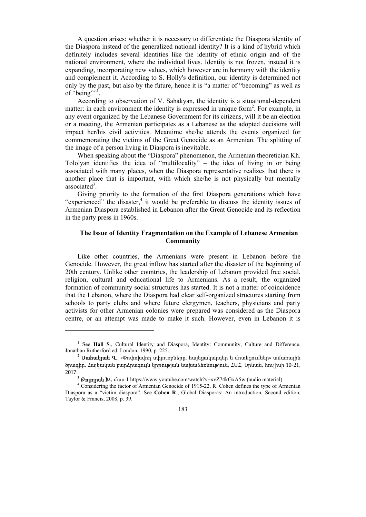A question arises: whether it is necessary to differentiate the Diaspora identity of the Diaspora instead of the generalized national identity? It is a kind of hybrid which definitely includes several identities like the identity of ethnic origin and of the national environment, where the individual lives. Identity is not frozen, instead it is expanding, incorporating new values, which however are in harmony with the identity and complement it. According to S. Holly's definition, our identity is determined not only by the past, but also by the future, hence it is "a matter of "becoming" as well as of "being"<sup>".</sup>

According to observation of V. Sahakyan, the identity is a situational-dependent matter: in each environment the identity is expressed in unique form<sup>2</sup>. For example, in any event organized by the Lebanese Government for its citizens, will it be an election or a meeting, the Armenian participates as a Lebanese as the adopted decisions will impact her/his civil activities. Meantime she/he attends the events organized for commemorating the victims of the Great Genocide as an Armenian. The splitting of the image of a person living in Diaspora is inevitable.

When speaking about the "Diaspora" phenomenon, the Armenian theoretician Kh. Tololyan identifies the idea of "multilocality" – the idea of living in or being associated with many places, when the Diaspora representative realizes that there is another place that is important, with which she/he is not physically but mentally associated<sup>3</sup>.

Giving priority to the formation of the first Diaspora generations which have "experienced" the disaster,<sup>4</sup> it would be preferable to discuss the identity issues of Armenian Diaspora established in Lebanon after the Great Genocide and its reflection in the party press in 1960s.

## **The Issue of Identity Fragmentation on the Example of Lebanese Armenian Community**

Like other countries, the Armenians were present in Lebanon before the Genocide. However, the great inflow has started after the disaster of the beginning of 20th century. Unlike other countries, the leadership of Lebanon provided free social, religion, cultural and educational life to Armenians. As a result, the organized formation of community social structures has started. It is not a matter of coincidence that the Lebanon, where the Diaspora had clear self-organized structures starting from schools to party clubs and where future clergymen, teachers, physicians and party activists for other Armenian colonies were prepared was considered as the Diaspora centre, or an attempt was made to make it such. However, even in Lebanon it is

<sup>&</sup>lt;sup>1</sup> See Hall S., Cultural Identity and Diaspora, Identity: Community, Culture and Difference. Jonathan Rutherford ed. London, 1990, p. 225. 2 Սահակյան <sup>Վ</sup>., «Փոփոխվող սփյուռքները. հայեցակարգեր <sup>և</sup> մոտեցումներ» ամառային

ծրագիր, Հայկական բարձրագույն կրթության նախաձեռնություն, ՀԱՀ, Երևան, հուլիսի 10-21, 2017:

<sup>&</sup>lt;sup>3</sup> **Թոլոլյան Խ.**, մաս 1 https://www.youtube.com/watch?v=xvZ74kGxA5w (audio material)

<sup>&</sup>lt;sup>4</sup> Considering the factor of Armenian Genocide of 1915-22, R. Cohen defines the type of Armenian Diaspora as a "victim diaspora". See **Cohen R**., Global Diasporas: An introduction, Second edition, Taylor & Francis, 2008, p. 39.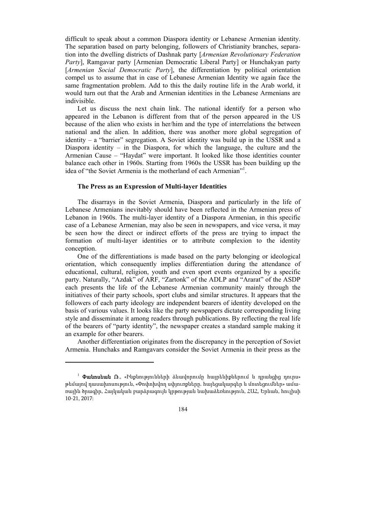difficult to speak about a common Diaspora identity or Lebanese Armenian identity. The separation based on party belonging, followers of Christianity branches, separation into the dwelling districts of Dashnak party [*Armenian Revolutionary Federation Party*], Ramgavar party [Armenian Democratic Liberal Party] or Hunchakyan party [*Armenian Social Democratic Party*], the differentiation by political orientation compel us to assume that in case of Lebanese Armenian Identity we again face the same fragmentation problem. Add to this the daily routine life in the Arab world, it would turn out that the Arab and Armenian identities in the Lebanese Armenians are indivisible.

Let us discuss the next chain link. The national identify for a person who appeared in the Lebanon is different from that of the person appeared in the US because of the alien who exists in her/him and the type of interrelations the between national and the alien. In addition, there was another more global segregation of identity – a "barrier" segregation. A Soviet identity was build up in the USSR and a Diaspora identity – in the Diaspora, for which the language, the culture and the Armenian Cause – "Haydat" were important. It looked like those identities counter balance each other in 1960s. Starting from 1960s the USSR has been building up the idea of "the Soviet Armenia is the motherland of each Armenian"<sup>1</sup>.

### **The Press as an Expression of Multi-layer Identities**

The disarrays in the Soviet Armenia, Diaspora and particularly in the life of Lebanese Armenians inevitably should have been reflected in the Armenian press of Lebanon in 1960s. The multi-layer identity of a Diaspora Armenian, in this specific case of a Lebanese Armenian, may also be seen in newspapers, and vice versa, it may be seen how the direct or indirect efforts of the press are trying to impact the formation of multi-layer identities or to attribute complexion to the identity conception.

One of the differentiations is made based on the party belonging or ideological orientation, which consequently implies differentiation during the attendance of educational, cultural, religion, youth and even sport events organized by a specific party. Naturally, "Azdak" of ARF, "Zartonk" of the ADLP and "Ararat" of the ASDP each presents the life of the Lebanese Armenian community mainly through the initiatives of their party schools, sport clubs and similar structures. It appears that the followers of each party ideology are independent bearers of identity developed on the basis of various values. It looks like the party newspapers dictate corresponding living style and disseminate it among readers through publications. By reflecting the real life of the bearers of "party identity", the newspaper creates a standard sample making it an example for other bearers.

Another differentiation originates from the discrepancy in the perception of Soviet Armenia. Hunchaks and Ramgavars consider the Soviet Armenia in their press as the

<sup>&</sup>lt;sup>1</sup> **Փանոսեան Ռ**., «Ինքնությունների ձևավորումը հայրենիքներում և դրանցից դուրս» թեմայով դասախոսություն, «Փոփոխվող սփյուռքները. հայեցակարգեր և մոտեցումներ» ամառային ծրագիր, Հայկական բարձրագույն կրթության նախաձեռնություն, ՀԱՀ, Երևան, հուլիսի 10-21, 2017: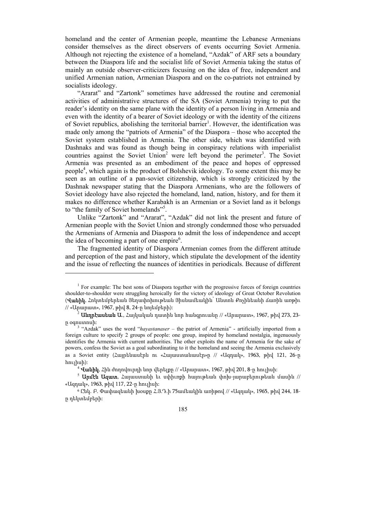homeland and the center of Armenian people, meantime the Lebanese Armenians consider themselves as the direct observers of events occurring Soviet Armenia. Although not rejecting the existence of a homeland, "Azdak" of ARF sets a boundary between the Diaspora life and the socialist life of Soviet Armenia taking the status of mainly an outside observer-criticizers focusing on the idea of free, independent and unified Armenian nation, Armenian Diaspora and on the co-patriots not entrained by socialists ideology.

"Ararat" and "Zartonk" sometimes have addressed the routine and ceremonial activities of administrative structures of the SA (Soviet Armenia) trying to put the reader's identity on the same plane with the identity of a person living in Armenia and even with the identity of a bearer of Soviet ideology or with the identity of the citizens of Soviet republics, abolishing the territorial barrier<sup>1</sup>. However, the identification was made only among the "patriots of Armenia" of the Diaspora – those who accepted the Soviet system established in Armenia. The other side, which was identified with Dashnaks and was found as though being in conspiracy relations with imperialist countries against the Soviet Union<sup>2</sup> were left beyond the perimeter<sup>3</sup>. The Soviet Armenia was presented as an embodiment of the peace and hopes of oppressed people4 , which again is the product of Bolshevik ideology. To some extent this may be seen as an outline of a pan-soviet citizenship, which is strongly criticized by the Dashnak newspaper stating that the Diaspora Armenians, who are the followers of Soviet ideology have also rejected the homeland, land, nation, history, and for them it makes no difference whether Karabakh is an Armenian or a Soviet land as it belongs to "the family of Soviet homelands"<sup>5</sup>.

Unlike "Zartonk" and "Ararat", "Azdak" did not link the present and future of Armenian people with the Soviet Union and strongly condemned those who persuaded the Armenians of Armenia and Diaspora to admit the loss of independence and accept the idea of becoming a part of one empire<sup>6</sup>.

The fragmented identity of Diaspora Armenian comes from the different attitude and perception of the past and history, which stipulate the development of the identity and the issue of reflecting the nuances of identities in periodicals. Because of different

<sup>&</sup>lt;sup>1</sup> For example: The best sons of Diaspora together with the progressive forces of foreign countries shoulder-to-shoulder were struggling heroically for the victory of ideology of Great October Revolution (**Վանիկ**, Հոկտեմբերեան Յեղափոխութեան Յիսնամեակին` Անտոն Քոչինեանի Ճառին առթիւ // «Արարատ», 1967, թիվ 8, 24-ը նոյեմբերի):

 $^2$  **Անդրէասեան Ա**., Հայկական դատին նոր հանգրուանը // «Արարատ», 1967, թիվ 273, 23-

<sup>ը</sup> օգոստոսի: <sup>3</sup> "Azdak" uses the word "*hayastanaser* – the patriot of Armenia" - artificially imported from a foreign culture to specify 2 groups of people: one group, inspired by homeland nostalgia, ingenuously identifies the Armenia with current authorities. The other exploits the name of Armenia for the sake of powers, confess the Soviet as a goal subordinating to it the homeland and seeing the Armenia exclusively as a Soviet entity (Հայրենասէրն ու «Հայաստանասէր»ը // «Ազդակ», 1963, թիվ 121, 26-ը հուլիսի):

<sup>&</sup>lt;sup>։</sup> **Վանիկ**, Հին ժողովուրդի նոր վերելքը // «Արարատ», 1967, թիվ 201, 8-ը հուլիսի։

 $^5$  **Արմէն Ազատ**, Հայաստանի եւ սփիւռքի հայութեան փոխ-յարաբերութեան մասին // «Ազդակ», 1963, թիվ 117, 22-ը հուլիսի:

<sup>6</sup> Ընկ. Բ. Փափազեանի խօսքը Հ.Յ.Դ.ի 75ամեակին առիթով // «Ազդակ», 1965, թիվ 244, 18 ը դեկտեմբերի: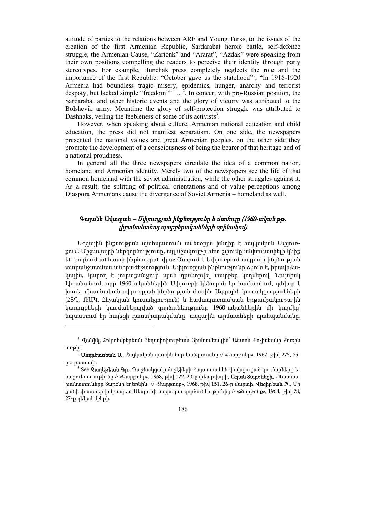attitude of parties to the relations between ARF and Young Turks, to the issues of the creation of the first Armenian Republic, Sardarabat heroic battle, self-defence struggle, the Armenian Cause, "Zartonk" and "Ararat", "Azdak" were speaking from their own positions compelling the readers to perceive their identity through party stereotypes. For example, Hunchak press completely neglects the role and the importance of the first Republic: "October gave us the statehood"<sup>1</sup>, "In 1918-1920 Armenia had boundless tragic misery, epidemics, hunger, anarchy and terrorist despoty, but lacked simple "freedom""  $\ldots$ <sup>2</sup>. In concert with pro-Russian position, the Sardarabat and other historic events and the glory of victory was attributed to the Bolshevik army. Meantime the glory of self-protection struggle was attributed to Dashnaks, veiling the feebleness of some of its activists $3$ .

However, when speaking about culture, Armenian national education and child education, the press did not manifest separatism. On one side, the newspapers presented the national values and great Armenian peoples, on the other side they promote the development of a consciousness of being the bearer of that heritage and of a national proudness.

In general all the three newspapers circulate the idea of a common nation, homeland and Armenian identity. Merely two of the newspapers see the life of that common homeland with the soviet administration, while the other struggles against it. As a result, the splitting of political orientations and of value perceptions among Diaspora Armenians cause the divergence of Soviet Armenia – homeland as well.

# Գայանե Ավագյան – Սփյուռքյան ինքնությունը և մամուլը (1960-ական թթ. լիբանանահայ պարբերականների օրինակով)

Ազգային ինքնության պահպանումն ամենօրյա խնդիր է հայկական Սփյուռքում։ Միջավայրի ներգործությունը, այլ մշակույթի հետ շփումը անխուսափելի կնիք են թողնում անհատի ինքնության վրա։ Ծագում է Սփյուռքում ապրողի ինքնության տարանջատման անհրաժեշտություն։ Սփյուռքյան ինքնությունը ճկուն է, իրավիճակային, կարող է յուրաքանչյուր պահ դրսևորվել տարբեր կողմերով։ Նույնիսկ Լիբանանում, որը 1960-ականներին Սփյուռքի կենտրոն էր համարվում, դժվար է խոսել միասնական սփյուռքյան ինքնության մասին։ Ազգային կուսակցությունների (ՀՅԴ, ՌԱԿ, Հնչակյան կուսակցություն) և համապատասխան կրթամշակութային կառույցների կազմակերպված գործունեությունը 1960-ականներին մի կողմից՝ նպաստում էր հայեցի դաստիարակմանը, ազգային արմատների պահպանմանը,

 $^{-1}$  **Վանիկ**, Հոկտեմբերեան Յեղափոխութեան Յիսնամեակին՝ Անտոն Քոչինեանի Ճառին առթիւ:

 $\widehat{\mathbb{P}}$  **Անդրէասեան Ա**., Հայկական դատին նոր հանգրուանը // «Զարթոնք», 1967, թիվ 275, 25ը օգոստոսի:

<sup>&</sup>lt;sup>3</sup> See **Ջաղեթեան Գր**., Դաշնակցական շէֆերի Հայաստանէն փախցուցած գումարները եւ հաշուետուութիւնը // «Զարթոնք», 1968, թիվ 122, 20-ը փետրվարի, Աղան Տարօնեցի, «Պատասխանատուները Տարօնի եղեռնին» // «Զարթոնք», 1968, թիվ 151, 26-ը մարտի, Վեզիրեան Թ., Մի քանի փաստեր խմբապետ Սեպուհի ազգադաւ գործունէութիւնից // «Զարթոնք», 1968, թիվ 78, 27-ը դեկտեմբերի:

<sup>186</sup>